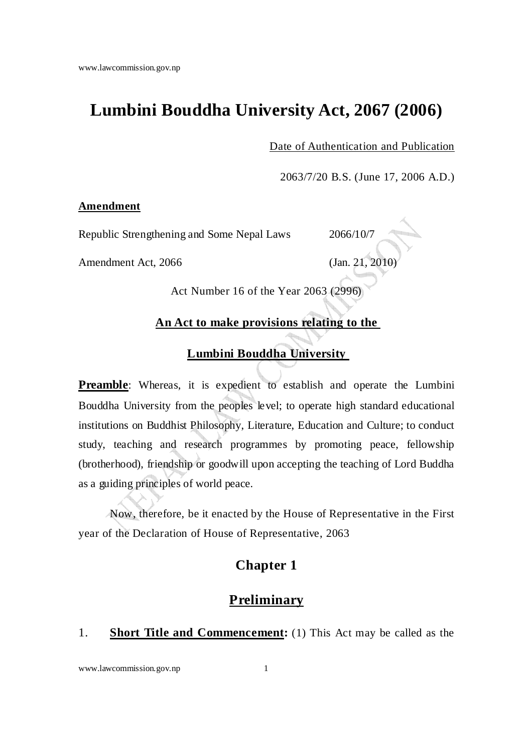# **Lumbini Bouddha University Act, 2067 (2006)**

Date of Authentication and Publication

2063/7/20 B.S. (June 17, 2006 A.D.)

### **Amendment**

Republic Strengthening and Some Nepal Laws 2066/10/7

Amendment Act, 2066 (Jan. 21, 2010)



Act Number 16 of the Year 2063 (2996)

### **An Act to make provisions relating to the**

## **Lumbini Bouddha University**

**Preamble:** Whereas, it is expedient to establish and operate the Lumbini Bouddha University from the peoples level; to operate high standard educational institutions on Buddhist Philosophy, Literature, Education and Culture; to conduct study, teaching and research programmes by promoting peace, fellowship (brotherhood), friendship or goodwill upon accepting the teaching of Lord Buddha as a guiding principles of world peace.

Now, therefore, be it enacted by the House of Representative in the First year of the Declaration of House of Representative, 2063

## **Chapter 1**

## **Preliminary**

## 1. **Short Title and Commencement:** (1) This Act may be called as the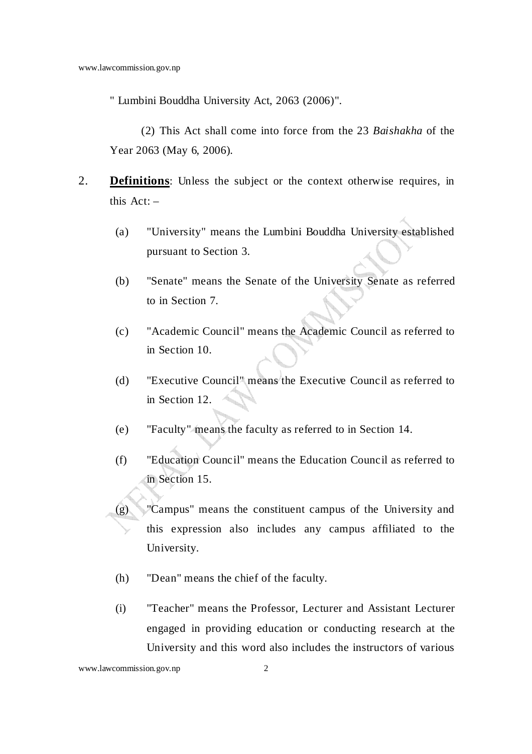" Lumbini Bouddha University Act, 2063 (2006)".

 (2) This Act shall come into force from the 23 *Baishakha* of the Year 2063 (May 6, 2006).

- 2. **Definitions**: Unless the subject or the context otherwise requires, in this  $Act: -$ 
	- (a) "University" means the Lumbini Bouddha University established pursuant to Section 3.
	- (b) "Senate" means the Senate of the University Senate as referred to in Section 7.
	- (c) "Academic Council" means the Academic Council as referred to in Section 10.
	- (d) "Executive Council" means the Executive Council as referred to in Section 12.
	- (e) "Faculty" means the faculty as referred to in Section 14.
	- (f) "Education Council" means the Education Council as referred to in Section 15.
	- (g) "Campus" means the constituent campus of the University and this expression also includes any campus affiliated to the University.
		- (h) "Dean" means the chief of the faculty.
		- (i) "Teacher" means the Professor, Lecturer and Assistant Lecturer engaged in providing education or conducting research at the University and this word also includes the instructors of various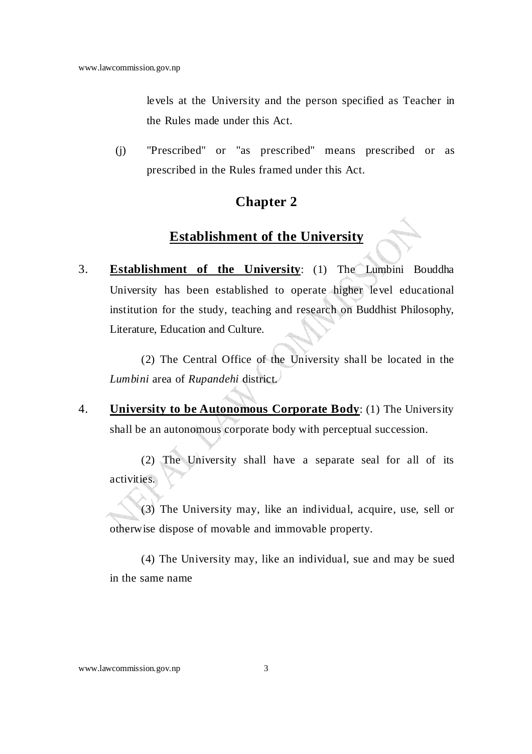levels at the University and the person specified as Teacher in the Rules made under this Act.

(j) "Prescribed" or "as prescribed" means prescribed or as prescribed in the Rules framed under this Act.

## **Chapter 2**

## **Establishment of the University**

3. **Establishment of the University**: (1) The Lumbini Bouddha University has been established to operate higher level educational institution for the study, teaching and research on Buddhist Philosophy, Literature, Education and Culture.

 (2) The Central Office of the University shall be located in the *Lumbini* area of *Rupandehi* district.

4. **University to be Autonomous Corporate Body**: (1) The University shall be an autonomous corporate body with perceptual succession.

 (2) The University shall have a separate seal for all of its activities.

 (3) The University may, like an individual, acquire, use, sell or otherwise dispose of movable and immovable property.

 (4) The University may, like an individual, sue and may be sued in the same name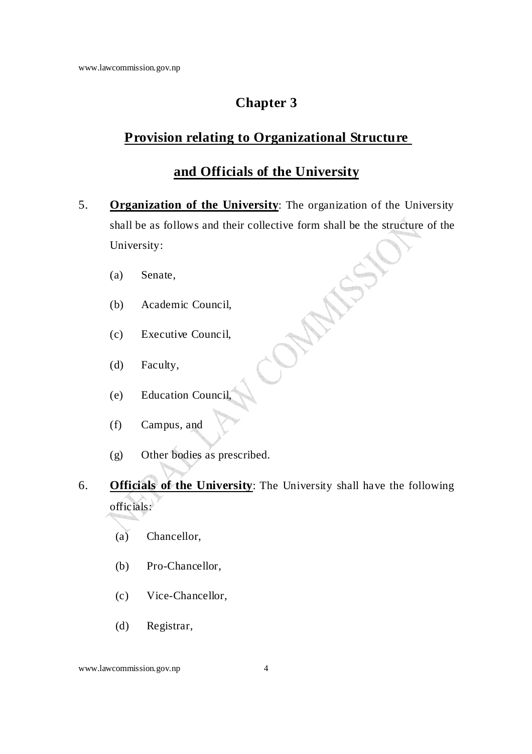## **Provision relating to Organizational Structure**

## **and Officials of the University**

- 5. **Organization of the University**: The organization of the University shall be as follows and their collective form shall be the structure of the University:
	- (a) Senate,
	- (b) Academic Council,
	- (c) Executive Council,
	- (d) Faculty,
	- (e) Education Council,
	- (f) Campus, and
	- (g) Other bodies as prescribed.
- 6. **Officials of the University**: The University shall have the following officials:
	- (a) Chancellor,
	- (b) Pro-Chancellor,
	- (c) Vice-Chancellor,
	- (d) Registrar,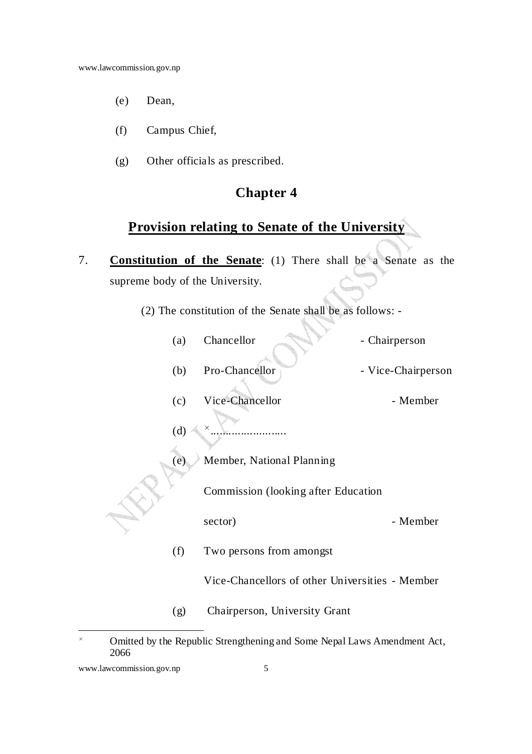- (e) Dean,
- (f) Campus Chief,
- (g) Other officials as prescribed.

# **Provision relating to Senate of the University**

- 7. **Constitution of the Senate**: (1) There shall be a Senate as the supreme body of the University.
	- (2) The constitution of the Senate shall be as follows: -

| (a) | Chancellor                                      | - Chairperson      |
|-----|-------------------------------------------------|--------------------|
| (b) | Pro-Chancellor                                  | - Vice-Chairperson |
| (c) | Vice-Chancellor                                 | - Member           |
| (d) | $\times$                                        |                    |
| (e) | Member, National Planning                       |                    |
|     | Commission (looking after Education             |                    |
|     | sector)                                         | - Member           |
| (f) | Two persons from amongst                        |                    |
|     | Vice-Chancellors of other Universities - Member |                    |
| (g) | Chairperson, University Grant                   |                    |

Omitted by the Republic Strengthening and Some Nepal Laws Amendment Act, 2066

 $\overline{a}$ 

www.lawcommission.gov.np 5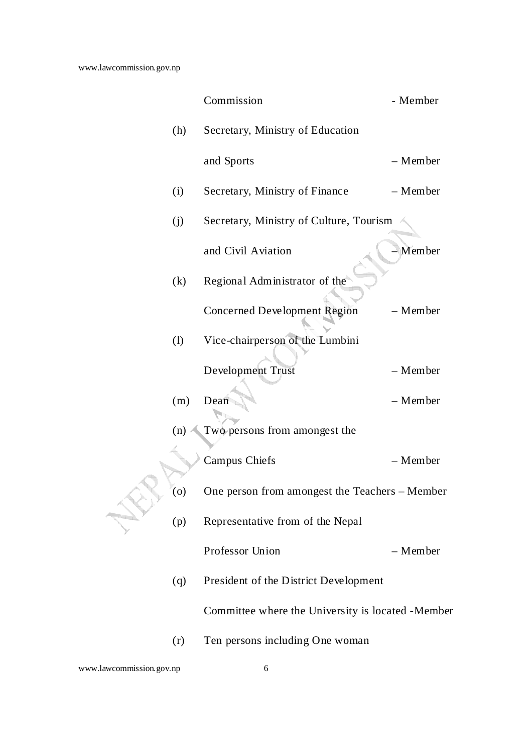|     | Commission                                         | - Member |
|-----|----------------------------------------------------|----------|
| (h) | Secretary, Ministry of Education                   |          |
|     | and Sports                                         | - Member |
| (i) | Secretary, Ministry of Finance                     | - Member |
| (j) | Secretary, Ministry of Culture, Tourism            |          |
|     | and Civil Aviation                                 | Member   |
| (k) | Regional Administrator of the                      |          |
|     | <b>Concerned Development Region</b>                | - Member |
| (1) | Vice-chairperson of the Lumbini                    |          |
|     | Development Trust                                  | - Member |
| (m) | Dean                                               | - Member |
| (n) | Two persons from amongest the                      |          |
|     | <b>Campus Chiefs</b>                               | - Member |
| (0) | One person from amongest the Teachers - Member     |          |
| (p) | Representative from of the Nepal                   |          |
|     | Professor Union                                    | - Member |
| (q) | President of the District Development              |          |
|     | Committee where the University is located - Member |          |
| (r) | Ten persons including One woman                    |          |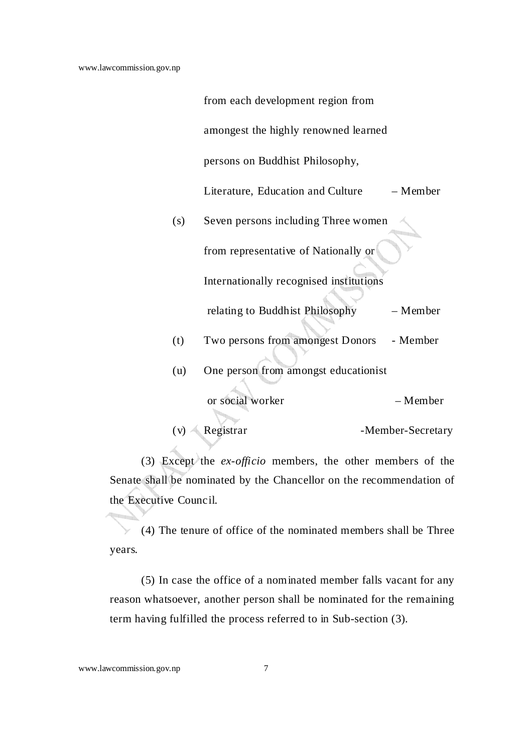|     | from each development region from       |                   |
|-----|-----------------------------------------|-------------------|
|     | amongest the highly renowned learned    |                   |
|     | persons on Buddhist Philosophy,         |                   |
|     | Literature, Education and Culture       | – Member          |
| (s) | Seven persons including Three women     |                   |
|     | from representative of Nationally or    |                   |
|     | Internationally recognised institutions |                   |
|     | relating to Buddhist Philosophy         | - Member          |
| (t) | Two persons from amongest Donors        | - Member          |
| (u) | One person from amongst educationist    |                   |
|     | or social worker                        | - Member          |
| (v) | Registrar                               | -Member-Secretary |

 (3) Except the *ex-officio* members, the other members of the Senate shall be nominated by the Chancellor on the recommendation of the Executive Council.

 (4) The tenure of office of the nominated members shall be Three years.

 (5) In case the office of a nominated member falls vacant for any reason whatsoever, another person shall be nominated for the remaining term having fulfilled the process referred to in Sub-section (3).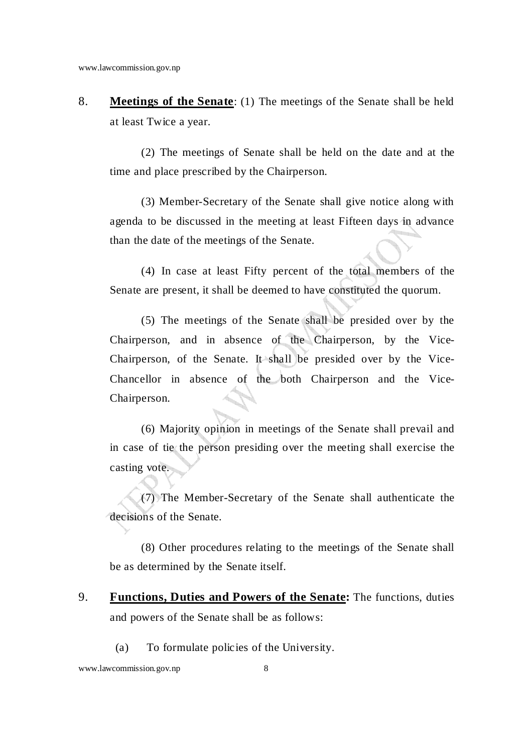8. **Meetings of the Senate**: (1) The meetings of the Senate shall be held at least Twice a year.

 (2) The meetings of Senate shall be held on the date and at the time and place prescribed by the Chairperson.

 (3) Member-Secretary of the Senate shall give notice along with agenda to be discussed in the meeting at least Fifteen days in advance than the date of the meetings of the Senate.

 (4) In case at least Fifty percent of the total members of the Senate are present, it shall be deemed to have constituted the quorum.

 (5) The meetings of the Senate shall be presided over by the Chairperson, and in absence of the Chairperson, by the Vice-Chairperson, of the Senate. It shall be presided over by the Vice-Chancellor in absence of the both Chairperson and the Vice-Chairperson.

 (6) Majority opinion in meetings of the Senate shall prevail and in case of tie the person presiding over the meeting shall exercise the casting vote.

 (7) The Member-Secretary of the Senate shall authenticate the decisions of the Senate.

 (8) Other procedures relating to the meetings of the Senate shall be as determined by the Senate itself.

- 9. **Functions, Duties and Powers of the Senate:** The functions, duties and powers of the Senate shall be as follows:
	- (a) To formulate policies of the University.

www.lawcommission.gov.np 8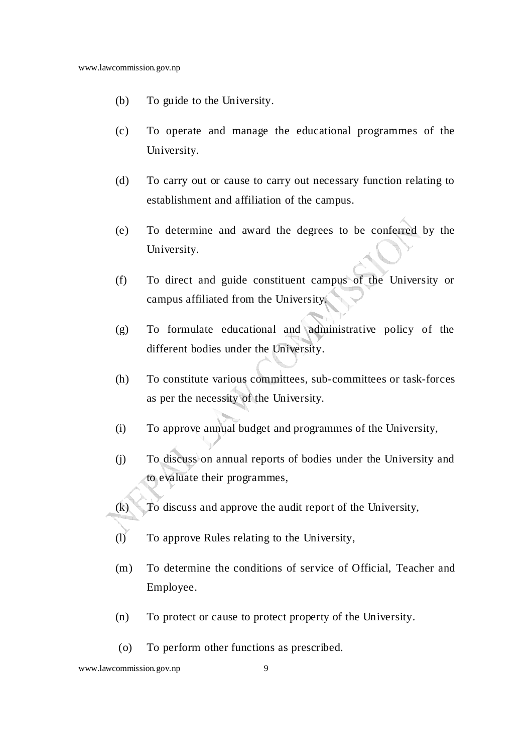- (b) To guide to the University.
- (c) To operate and manage the educational programmes of the University.
- (d) To carry out or cause to carry out necessary function relating to establishment and affiliation of the campus.
- (e) To determine and award the degrees to be conferred by the University.
- (f) To direct and guide constituent campus of the University or campus affiliated from the University.
- (g) To formulate educational and administrative policy of the different bodies under the University.
- (h) To constitute various committees, sub-committees or task-forces as per the necessity of the University.
- (i) To approve annual budget and programmes of the University,
- (j) To discuss on annual reports of bodies under the University and to evaluate their programmes,
- (k) To discuss and approve the audit report of the University,
- (l) To approve Rules relating to the University,
- (m) To determine the conditions of service of Official, Teacher and Employee.
- (n) To protect or cause to protect property of the University.
- (o) To perform other functions as prescribed.

www.lawcommission.gov.np 9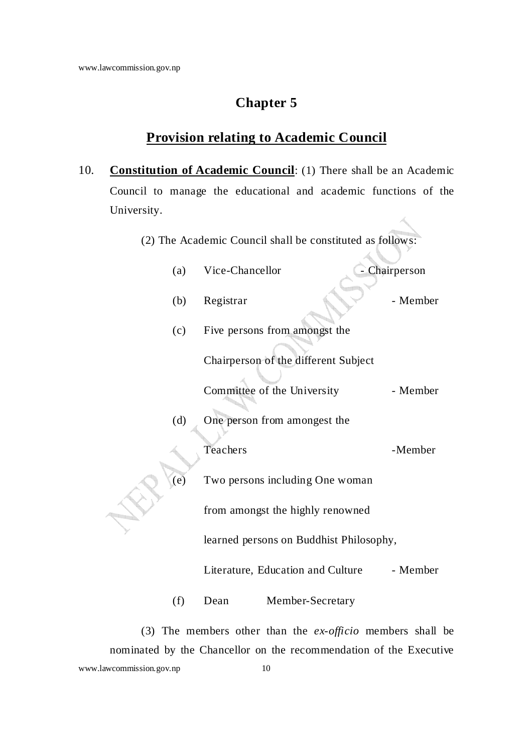# **Provision relating to Academic Council**

- 10. **Constitution of Academic Council**: (1) There shall be an Academic Council to manage the educational and academic functions of the University.
	- (2) The Academic Council shall be constituted as follows:

|            | (a) | Vice-Chancellor                         | - Chairperson |  |
|------------|-----|-----------------------------------------|---------------|--|
|            | (b) | Registrar                               | - Member      |  |
|            | (c) | Five persons from amongst the           |               |  |
|            |     | Chairperson of the different Subject    |               |  |
|            |     | Committee of the University             | - Member      |  |
| (d)<br>(e) |     | One person from amongest the            |               |  |
|            |     | Teachers                                | -Member       |  |
|            |     | Two persons including One woman         |               |  |
|            |     | from amongst the highly renowned        |               |  |
|            |     | learned persons on Buddhist Philosophy, |               |  |
|            |     | Literature, Education and Culture       | - Member      |  |
|            | (f) | Dean<br>Member-Secretary                |               |  |

www.lawcommission.gov.np 10 (3) The members other than the *ex-officio* members shall be nominated by the Chancellor on the recommendation of the Executive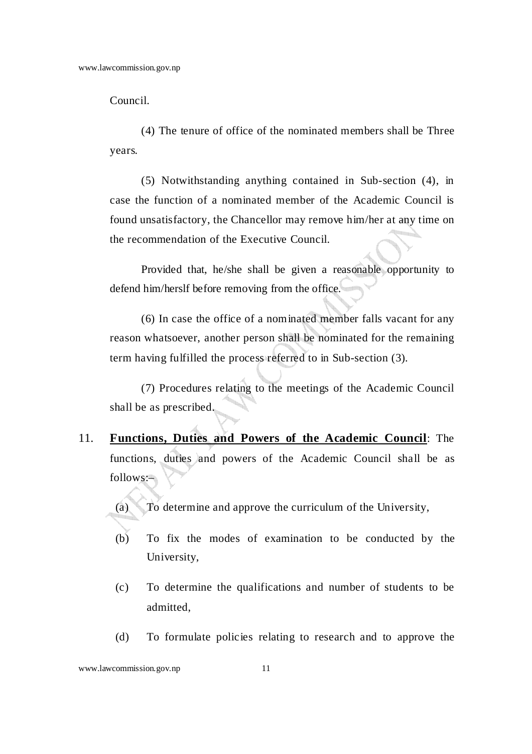Council.

 (4) The tenure of office of the nominated members shall be Three years.

 (5) Notwithstanding anything contained in Sub-section (4), in case the function of a nominated member of the Academic Council is found unsatisfactory, the Chancellor may remove him/her at any time on the recommendation of the Executive Council.

Provided that, he/she shall be given a reasonable opportunity to defend him/herslf before removing from the office.

(6) In case the office of a nominated member falls vacant for any reason whatsoever, another person shall be nominated for the remaining term having fulfilled the process referred to in Sub-section (3).

 (7) Procedures relating to the meetings of the Academic Council shall be as prescribed.

11. **Functions, Duties and Powers of the Academic Council**: The functions, duties and powers of the Academic Council shall be as follows:–

(a) To determine and approve the curriculum of the University,

- (b) To fix the modes of examination to be conducted by the University,
- (c) To determine the qualifications and number of students to be admitted,
- (d) To formulate policies relating to research and to approve the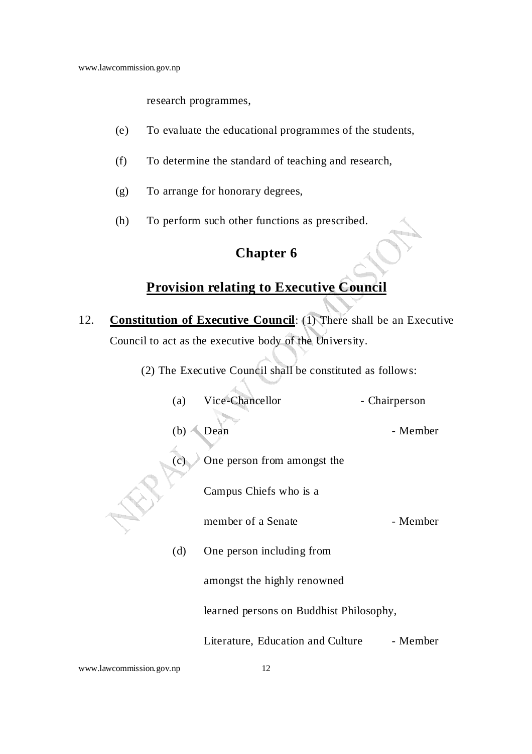research programmes,

- (e) To evaluate the educational programmes of the students,
- (f) To determine the standard of teaching and research,
- (g) To arrange for honorary degrees,
- (h) To perform such other functions as prescribed.

# **Chapter 6**

# **Provision relating to Executive Council**

- 12. **Constitution of Executive Council**: (1) There shall be an Executive Council to act as the executive body of the University.
	- (2) The Executive Council shall be constituted as follows:

|  | (a)               | Vice-Chancellor                         | - Chairperson |
|--|-------------------|-----------------------------------------|---------------|
|  | (b)<br>$\epsilon$ | Dean<br>One person from amongst the     | - Member      |
|  |                   | Campus Chiefs who is a                  |               |
|  |                   | member of a Senate                      | - Member      |
|  | (d)               | One person including from               |               |
|  |                   | amongst the highly renowned             |               |
|  |                   | learned persons on Buddhist Philosophy, |               |
|  |                   | Literature, Education and Culture       | - Member      |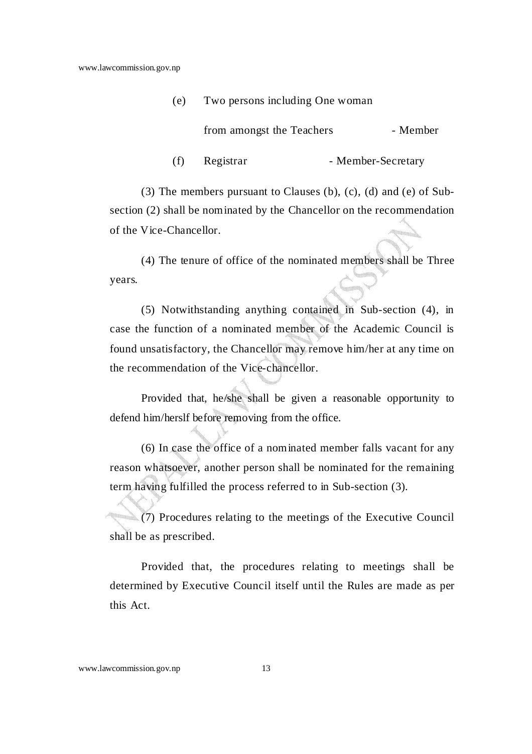| (e) | Two persons including One woman |                    |  |
|-----|---------------------------------|--------------------|--|
|     | from amongst the Teachers       | - Member           |  |
| (f) | Registrar                       | - Member-Secretary |  |

 (3) The members pursuant to Clauses (b), (c), (d) and (e) of Subsection (2) shall be nominated by the Chancellor on the recommendation of the Vice-Chancellor.

 (4) The tenure of office of the nominated members shall be Three years.

 (5) Notwithstanding anything contained in Sub-section (4), in case the function of a nominated member of the Academic Council is found unsatisfactory, the Chancellor may remove him/her at any time on the recommendation of the Vice-chancellor.

Provided that, he/she shall be given a reasonable opportunity to defend him/herslf before removing from the office.

(6) In case the office of a nominated member falls vacant for any reason whatsoever, another person shall be nominated for the remaining term having fulfilled the process referred to in Sub-section (3).

 (7) Procedures relating to the meetings of the Executive Council shall be as prescribed.

Provided that, the procedures relating to meetings shall be determined by Executive Council itself until the Rules are made as per this Act.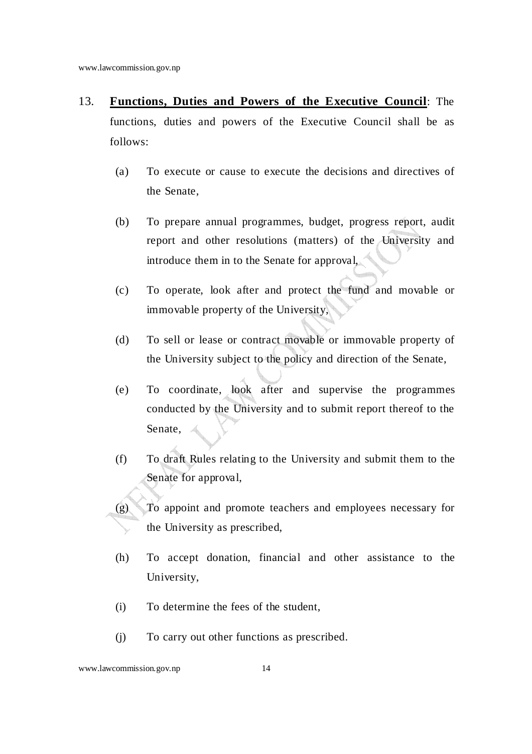- 13. **Functions, Duties and Powers of the Executive Council**: The functions, duties and powers of the Executive Council shall be as follows:
	- (a) To execute or cause to execute the decisions and directives of the Senate,
	- (b) To prepare annual programmes, budget, progress report, audit report and other resolutions (matters) of the University and introduce them in to the Senate for approval,
	- (c) To operate, look after and protect the fund and movable or immovable property of the University,
	- (d) To sell or lease or contract movable or immovable property of the University subject to the policy and direction of the Senate,
	- (e) To coordinate, look after and supervise the programmes conducted by the University and to submit report thereof to the Senate,
	- (f) To draft Rules relating to the University and submit them to the Senate for approval,
	- (g) To appoint and promote teachers and employees necessary for the University as prescribed,
		- (h) To accept donation, financial and other assistance to the University,
		- (i) To determine the fees of the student,
		- (j) To carry out other functions as prescribed.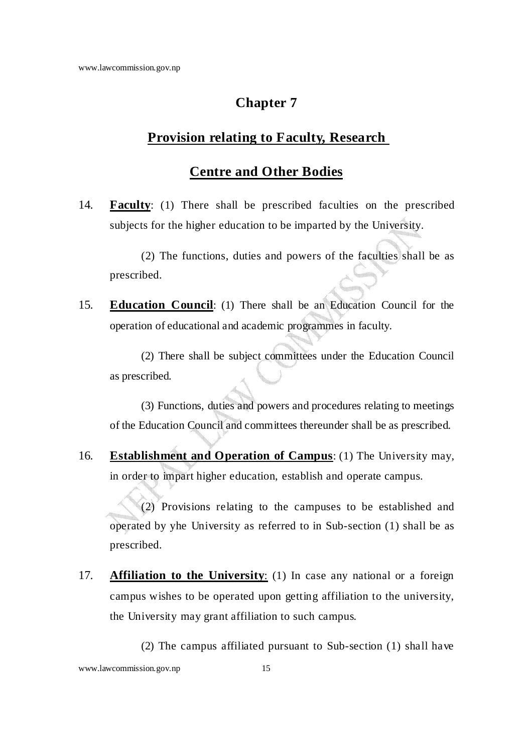## **Provision relating to Faculty, Research**

### **Centre and Other Bodies**

14. **Faculty**: (1) There shall be prescribed faculties on the prescribed subjects for the higher education to be imparted by the University.

 (2) The functions, duties and powers of the faculties shall be as prescribed.

15. **Education Council**: (1) There shall be an Education Council for the operation of educational and academic programmes in faculty.

 (2) There shall be subject committees under the Education Council as prescribed.

 (3) Functions, duties and powers and procedures relating to meetings of the Education Council and committees thereunder shall be as prescribed.

16. **Establishment and Operation of Campus**: (1) The University may, in order to impart higher education, establish and operate campus.

 (2) Provisions relating to the campuses to be established and operated by yhe University as referred to in Sub-section (1) shall be as prescribed.

17. **Affiliation to the University**: (1) In case any national or a foreign campus wishes to be operated upon getting affiliation to the university, the University may grant affiliation to such campus.

(2) The campus affiliated pursuant to Sub-section (1) shall have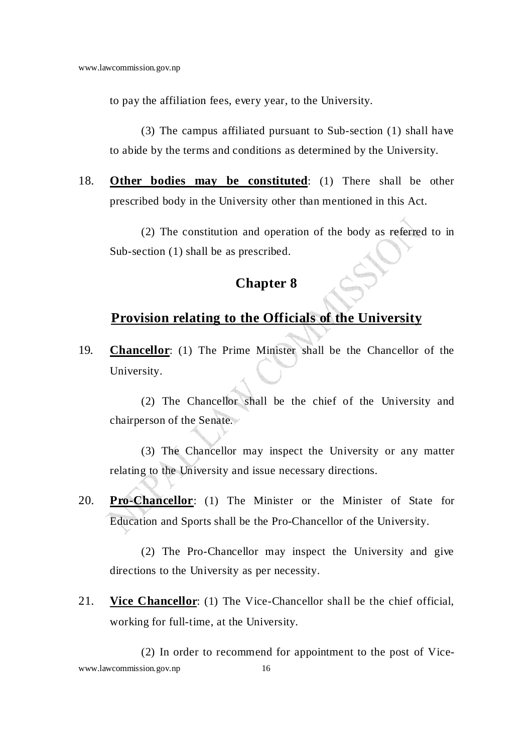to pay the affiliation fees, every year, to the University.

 (3) The campus affiliated pursuant to Sub-section (1) shall have to abide by the terms and conditions as determined by the University.

18. **Other bodies may be constituted**: (1) There shall be other prescribed body in the University other than mentioned in this Act.

 (2) The constitution and operation of the body as referred to in Sub-section (1) shall be as prescribed.

## **Chapter 8**

## **Provision relating to the Officials of the University**

19. **Chancellor**: (1) The Prime Minister shall be the Chancellor of the University.

 (2) The Chancellor shall be the chief of the University and chairperson of the Senate.

 (3) The Chancellor may inspect the University or any matter relating to the University and issue necessary directions.

20. **Pro-Chancellor**: (1) The Minister or the Minister of State for Education and Sports shall be the Pro-Chancellor of the University.

 (2) The Pro-Chancellor may inspect the University and give directions to the University as per necessity.

21. **Vice Chancellor**: (1) The Vice-Chancellor shall be the chief official, working for full-time, at the University.

www.lawcommission.gov.np 16 (2) In order to recommend for appointment to the post of Vice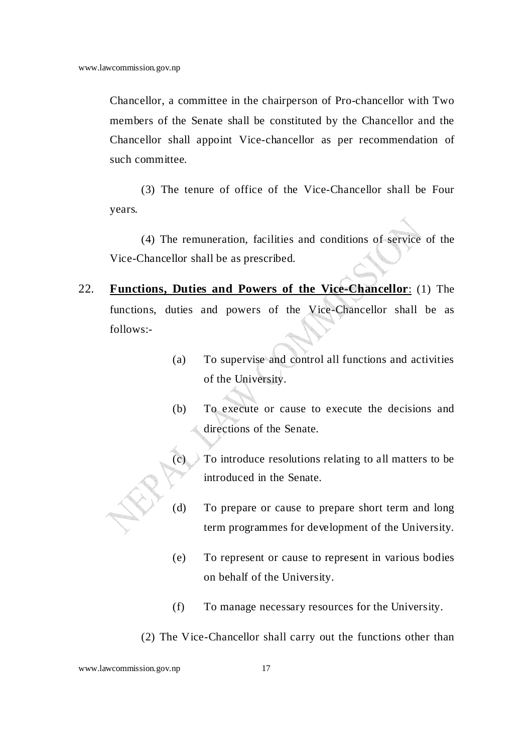Chancellor, a committee in the chairperson of Pro-chancellor with Two members of the Senate shall be constituted by the Chancellor and the Chancellor shall appoint Vice-chancellor as per recommendation of such committee.

 (3) The tenure of office of the Vice-Chancellor shall be Four years.

 (4) The remuneration, facilities and conditions of service of the Vice-Chancellor shall be as prescribed.

- 22. **Functions, Duties and Powers of the Vice-Chancellor**: (1) The functions, duties and powers of the Vice-Chancellor shall be as follows:-
	- (a) To supervise and control all functions and activities of the University.
	- (b) To execute or cause to execute the decisions and directions of the Senate.
	- (c) To introduce resolutions relating to all matters to be introduced in the Senate.
	- (d) To prepare or cause to prepare short term and long term programmes for development of the University.
	- (e) To represent or cause to represent in various bodies on behalf of the University.
	- (f) To manage necessary resources for the University.
	- (2) The Vice-Chancellor shall carry out the functions other than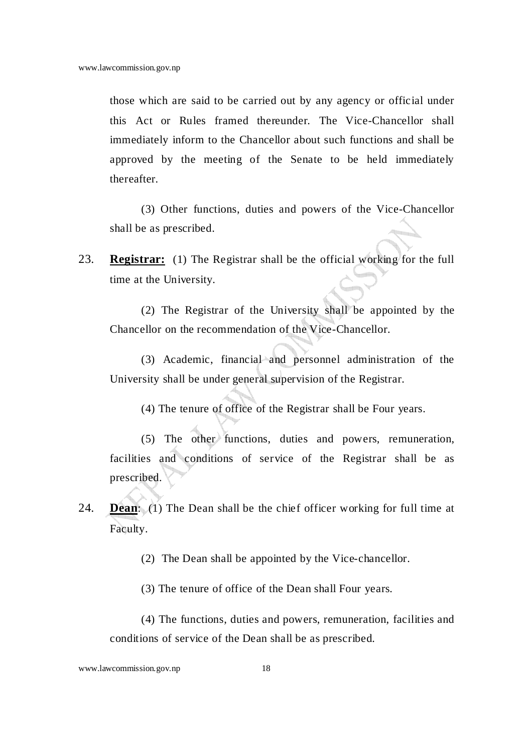those which are said to be carried out by any agency or official under this Act or Rules framed thereunder. The Vice-Chancellor shall immediately inform to the Chancellor about such functions and shall be approved by the meeting of the Senate to be held immediately thereafter.

 (3) Other functions, duties and powers of the Vice-Chancellor shall be as prescribed.

23. **Registrar:** (1) The Registrar shall be the official working for the full time at the University.

 (2) The Registrar of the University shall be appointed by the Chancellor on the recommendation of the Vice-Chancellor.

 (3) Academic, financial and personnel administration of the University shall be under general supervision of the Registrar.

(4) The tenure of office of the Registrar shall be Four years.

 (5) The other functions, duties and powers, remuneration, facilities and conditions of service of the Registrar shall be as prescribed.

24. **Dean**: (1) The Dean shall be the chief officer working for full time at Faculty.

(2) The Dean shall be appointed by the Vice-chancellor.

(3) The tenure of office of the Dean shall Four years.

 (4) The functions, duties and powers, remuneration, facilities and conditions of service of the Dean shall be as prescribed.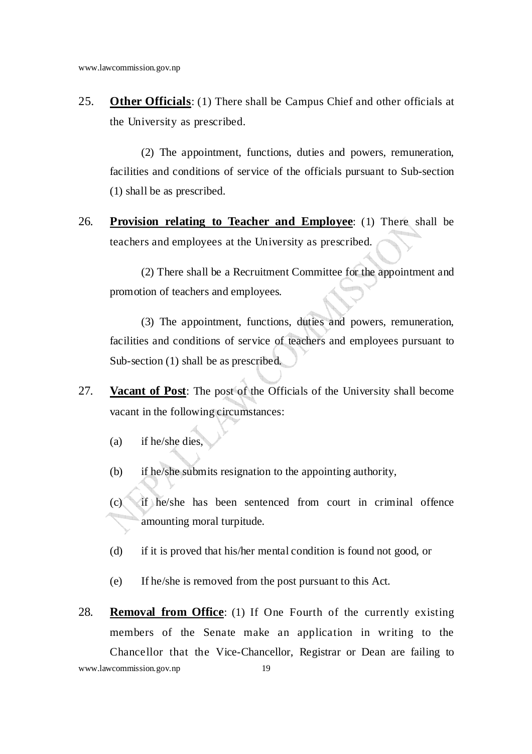25. **Other Officials**: (1) There shall be Campus Chief and other officials at the University as prescribed.

 (2) The appointment, functions, duties and powers, remuneration, facilities and conditions of service of the officials pursuant to Sub-section (1) shall be as prescribed.

26. **Provision relating to Teacher and Employee**: (1) There shall be teachers and employees at the University as prescribed.

 (2) There shall be a Recruitment Committee for the appointment and promotion of teachers and employees.

 (3) The appointment, functions, duties and powers, remuneration, facilities and conditions of service of teachers and employees pursuant to Sub-section (1) shall be as prescribed.

- 27. **Vacant of Post**: The post of the Officials of the University shall become vacant in the following circumstances:
	- (a) if he/she dies,
	- (b) if he/she submits resignation to the appointing authority,
	- (c) if he/she has been sentenced from court in criminal offence amounting moral turpitude.
	- (d) if it is proved that his/her mental condition is found not good, or
	- (e) If he/she is removed from the post pursuant to this Act.
- www.lawcommission.gov.np 19 28. **Removal from Office**: (1) If One Fourth of the currently existing members of the Senate make an application in writing to the Chancellor that the Vice-Chancellor, Registrar or Dean are failing to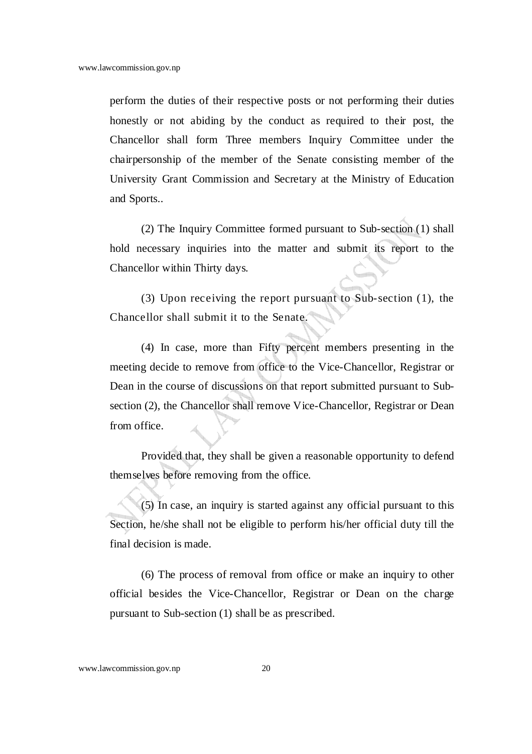perform the duties of their respective posts or not performing their duties honestly or not abiding by the conduct as required to their post, the Chancellor shall form Three members Inquiry Committee under the chairpersonship of the member of the Senate consisting member of the University Grant Commission and Secretary at the Ministry of Education and Sports..

(2) The Inquiry Committee formed pursuant to Sub-section (1) shall hold necessary inquiries into the matter and submit its report to the Chancellor within Thirty days.

(3) Upon receiving the report pursuant to Sub-section (1), the Chancellor shall submit it to the Senate.

(4) In case, more than Fifty percent members presenting in the meeting decide to remove from office to the Vice-Chancellor, Registrar or Dean in the course of discussions on that report submitted pursuant to Subsection (2), the Chancellor shall remove Vice-Chancellor, Registrar or Dean from office.

Provided that, they shall be given a reasonable opportunity to defend themselves before removing from the office.

(5) In case, an inquiry is started against any official pursuant to this Section, he/she shall not be eligible to perform his/her official duty till the final decision is made.

(6) The process of removal from office or make an inquiry to other official besides the Vice-Chancellor, Registrar or Dean on the charge pursuant to Sub-section (1) shall be as prescribed.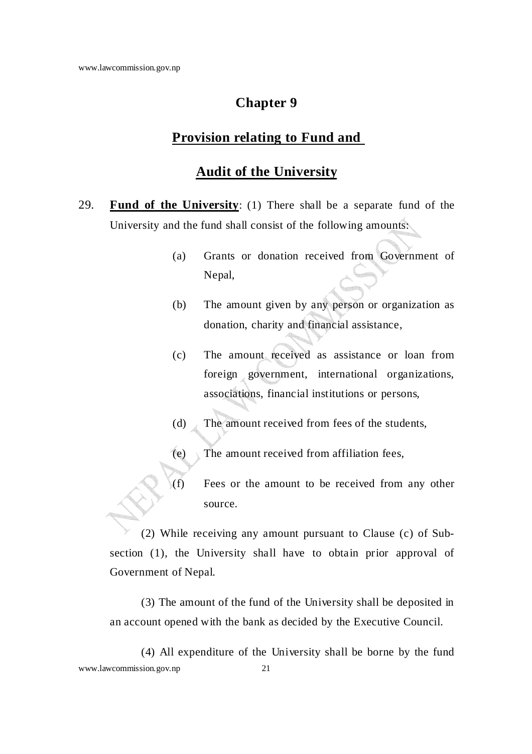## **Provision relating to Fund and**

### **Audit of the University**

- 29. **Fund of the University**: (1) There shall be a separate fund of the University and the fund shall consist of the following amounts:
	- (a) Grants or donation received from Government of Nepal,
	- (b) The amount given by any person or organization as donation, charity and financial assistance,
	- (c) The amount received as assistance or loan from foreign government, international organizations, associations, financial institutions or persons,
	- (d) The amount received from fees of the students,
	- (e) The amount received from affiliation fees,
	- (f) Fees or the amount to be received from any other source.

 (2) While receiving any amount pursuant to Clause (c) of Subsection (1), the University shall have to obtain prior approval of Government of Nepal.

 (3) The amount of the fund of the University shall be deposited in an account opened with the bank as decided by the Executive Council.

www.lawcommission.gov.np 21 (4) All expenditure of the University shall be borne by the fund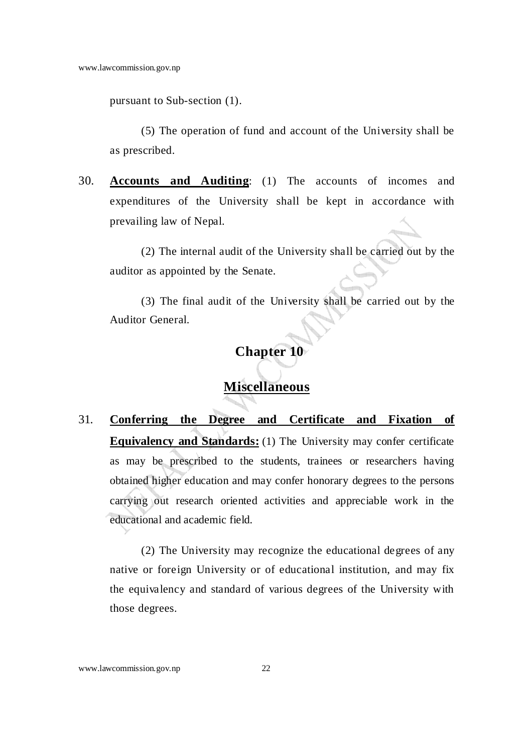pursuant to Sub-section (1).

 (5) The operation of fund and account of the University shall be as prescribed.

30. **Accounts and Auditing**: (1) The accounts of incomes and expenditures of the University shall be kept in accordance with prevailing law of Nepal.

 (2) The internal audit of the University shall be carried out by the auditor as appointed by the Senate.

 (3) The final audit of the University shall be carried out by the Auditor General.

# **Chapter 10**

# **Miscellaneous**

31. **Conferring the Degree and Certificate and Fixation of Equivalency and Standards:** (1) The University may confer certificate as may be prescribed to the students, trainees or researchers having obtained higher education and may confer honorary degrees to the persons carrying out research oriented activities and appreciable work in the educational and academic field.

 (2) The University may recognize the educational degrees of any native or foreign University or of educational institution, and may fix the equivalency and standard of various degrees of the University with those degrees.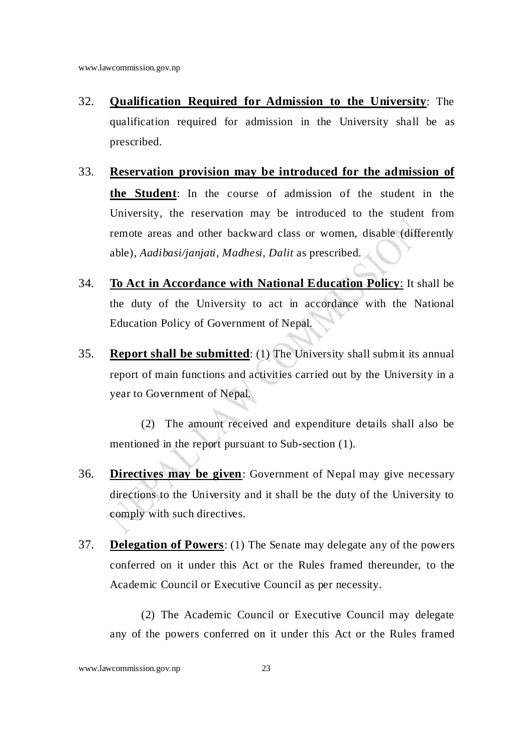- 32. **Qualification Required for Admission to the University**: The qualification required for admission in the University shall be as prescribed.
- 33. **Reservation provision may be introduced for the admission of the Student**: In the course of admission of the student in the University, the reservation may be introduced to the student from remote areas and other backward class or women, disable (differently able), *Aadibasi/janjati, Madhesi, Dalit* as prescribed.
- 34. **To Act in Accordance with National Education Policy**: It shall be the duty of the University to act in accordance with the National Education Policy of Government of Nepal.
- 35. **Report shall be submitted**: (1) The University shall submit its annual report of main functions and activities carried out by the University in a year to Government of Nepal.

 (2) The amount received and expenditure details shall also be mentioned in the report pursuant to Sub-section (1).

- 36. **Directives may be given**: Government of Nepal may give necessary directions to the University and it shall be the duty of the University to comply with such directives.
- 37. **Delegation of Powers**: (1) The Senate may delegate any of the powers conferred on it under this Act or the Rules framed thereunder, to the Academic Council or Executive Council as per necessity.

 (2) The Academic Council or Executive Council may delegate any of the powers conferred on it under this Act or the Rules framed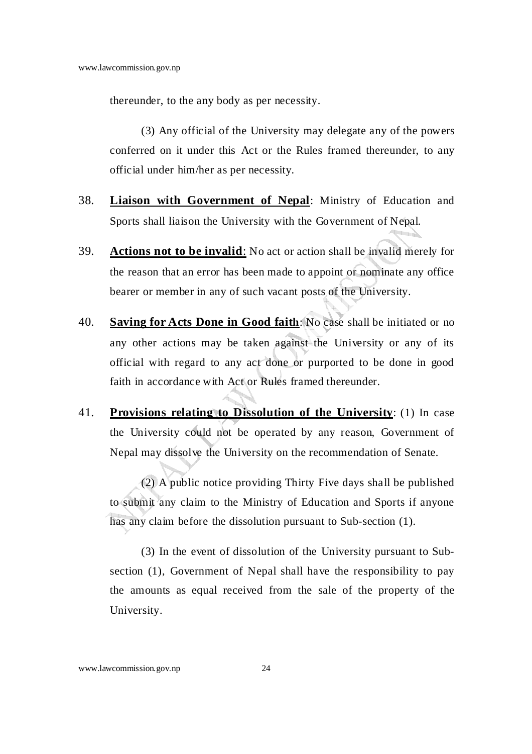thereunder, to the any body as per necessity.

 (3) Any official of the University may delegate any of the powers conferred on it under this Act or the Rules framed thereunder, to any official under him/her as per necessity.

- 38. **Liaison with Government of Nepal**: Ministry of Education and Sports shall liaison the University with the Government of Nepal.
- 39. **Actions not to be invalid**: No act or action shall be invalid merely for the reason that an error has been made to appoint or nominate any office bearer or member in any of such vacant posts of the University.
- 40. **Saving for Acts Done in Good faith**: No case shall be initiated or no any other actions may be taken against the University or any of its official with regard to any act done or purported to be done in good faith in accordance with Act or Rules framed thereunder.
- 41. **Provisions relating to Dissolution of the University**: (1) In case the University could not be operated by any reason, Government of Nepal may dissolve the University on the recommendation of Senate.

 (2) A public notice providing Thirty Five days shall be published to submit any claim to the Ministry of Education and Sports if anyone has any claim before the dissolution pursuant to Sub-section (1).

(3) In the event of dissolution of the University pursuant to Subsection (1), Government of Nepal shall have the responsibility to pay the amounts as equal received from the sale of the property of the University.